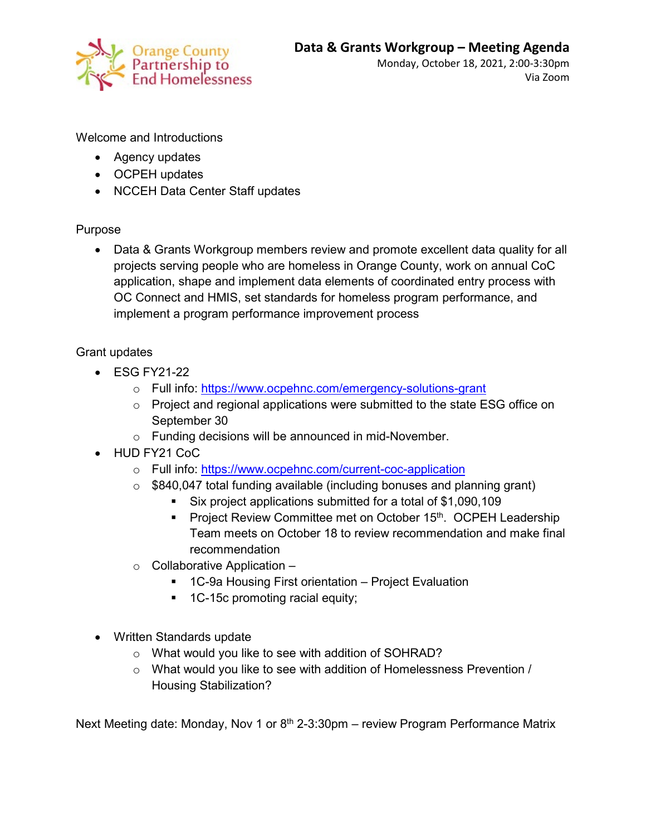

Monday, October 18, 2021, 2:00-3:30pm Via Zoom

Welcome and Introductions

- Agency updates
- OCPEH updates
- NCCEH Data Center Staff updates

## Purpose

• Data & Grants Workgroup members review and promote excellent data quality for all projects serving people who are homeless in Orange County, work on annual CoC application, shape and implement data elements of coordinated entry process with OC Connect and HMIS, set standards for homeless program performance, and implement a program performance improvement process

## Grant updates

- ESG FY21-22
	- o Full info: <https://www.ocpehnc.com/emergency-solutions-grant>
	- $\circ$  Project and regional applications were submitted to the state ESG office on September 30
	- o Funding decisions will be announced in mid-November.
- HUD FY21 CoC
	- o Full info: <https://www.ocpehnc.com/current-coc-application>
	- $\circ$  \$840,047 total funding available (including bonuses and planning grant)
		- Six project applications submitted for a total of \$1,090,109
		- **Project Review Committee met on October 15th. OCPEH Leadership** Team meets on October 18 to review recommendation and make final recommendation
	- $\circ$  Collaborative Application
		- 1C-9a Housing First orientation Project Evaluation
		- **1C-15c promoting racial equity;**
- Written Standards update
	- o What would you like to see with addition of SOHRAD?
	- o What would you like to see with addition of Homelessness Prevention / Housing Stabilization?

Next Meeting date: Monday, Nov 1 or  $8<sup>th</sup>$  2-3:30pm – review Program Performance Matrix